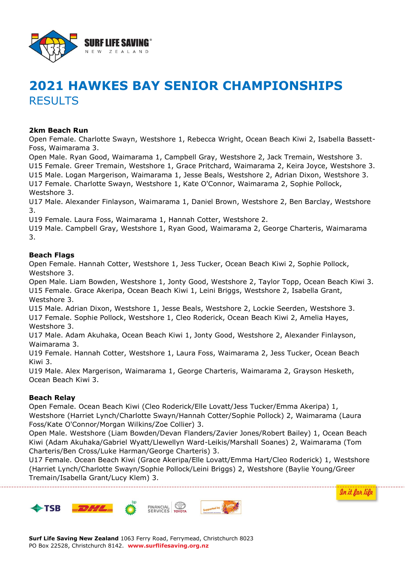

# **2021 HAWKES BAY SENIOR CHAMPIONSHIPS RESULTS**

## **2km Beach Run**

Open Female. Charlotte Swayn, Westshore 1, Rebecca Wright, Ocean Beach Kiwi 2, Isabella Bassett-Foss, Waimarama 3.

Open Male. Ryan Good, Waimarama 1, Campbell Gray, Westshore 2, Jack Tremain, Westshore 3. U15 Female. Greer Tremain, Westshore 1, Grace Pritchard, Waimarama 2, Keira Joyce, Westshore 3. U15 Male. Logan Margerison, Waimarama 1, Jesse Beals, Westshore 2, Adrian Dixon, Westshore 3. U17 Female. Charlotte Swayn, Westshore 1, Kate O'Connor, Waimarama 2, Sophie Pollock, Westshore 3.

U17 Male. Alexander Finlayson, Waimarama 1, Daniel Brown, Westshore 2, Ben Barclay, Westshore 3.

U19 Female. Laura Foss, Waimarama 1, Hannah Cotter, Westshore 2.

U19 Male. Campbell Gray, Westshore 1, Ryan Good, Waimarama 2, George Charteris, Waimarama 3.

## **Beach Flags**

Open Female. Hannah Cotter, Westshore 1, Jess Tucker, Ocean Beach Kiwi 2, Sophie Pollock, Westshore 3.

Open Male. Liam Bowden, Westshore 1, Jonty Good, Westshore 2, Taylor Topp, Ocean Beach Kiwi 3. U15 Female. Grace Akeripa, Ocean Beach Kiwi 1, Leini Briggs, Westshore 2, Isabella Grant, Westshore 3.

U15 Male. Adrian Dixon, Westshore 1, Jesse Beals, Westshore 2, Lockie Seerden, Westshore 3. U17 Female. Sophie Pollock, Westshore 1, Cleo Roderick, Ocean Beach Kiwi 2, Amelia Hayes, Westshore 3.

U17 Male. Adam Akuhaka, Ocean Beach Kiwi 1, Jonty Good, Westshore 2, Alexander Finlayson, Waimarama 3.

U19 Female. Hannah Cotter, Westshore 1, Laura Foss, Waimarama 2, Jess Tucker, Ocean Beach Kiwi 3.

U19 Male. Alex Margerison, Waimarama 1, George Charteris, Waimarama 2, Grayson Hesketh, Ocean Beach Kiwi 3.

#### **Beach Relay**

Open Female. Ocean Beach Kiwi (Cleo Roderick/Elle Lovatt/Jess Tucker/Emma Akeripa) 1, Westshore (Harriet Lynch/Charlotte Swayn/Hannah Cotter/Sophie Pollock) 2, Waimarama (Laura Foss/Kate O'Connor/Morgan Wilkins/Zoe Collier) 3.

Open Male. Westshore (Liam Bowden/Devan Flanders/Zavier Jones/Robert Bailey) 1, Ocean Beach Kiwi (Adam Akuhaka/Gabriel Wyatt/Llewellyn Ward-Leikis/Marshall Soanes) 2, Waimarama (Tom Charteris/Ben Cross/Luke Harman/George Charteris) 3.

U17 Female. Ocean Beach Kiwi (Grace Akeripa/Elle Lovatt/Emma Hart/Cleo Roderick) 1, Westshore (Harriet Lynch/Charlotte Swayn/Sophie Pollock/Leini Briggs) 2, Westshore (Baylie Young/Greer Tremain/Isabella Grant/Lucy Klem) 3.

In it for life

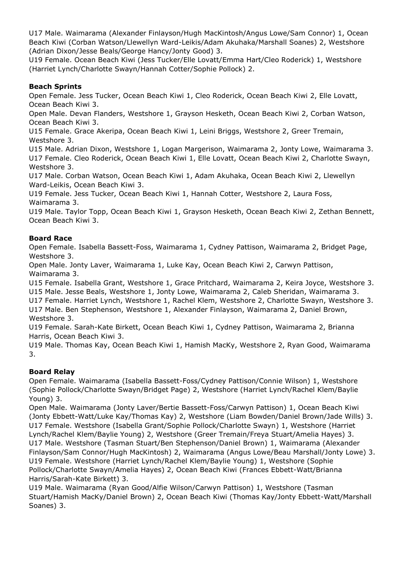U17 Male. Waimarama (Alexander Finlayson/Hugh MacKintosh/Angus Lowe/Sam Connor) 1, Ocean Beach Kiwi (Corban Watson/Llewellyn Ward-Leikis/Adam Akuhaka/Marshall Soanes) 2, Westshore (Adrian Dixon/Jesse Beals/George Hancy/Jonty Good) 3.

U19 Female. Ocean Beach Kiwi (Jess Tucker/Elle Lovatt/Emma Hart/Cleo Roderick) 1, Westshore (Harriet Lynch/Charlotte Swayn/Hannah Cotter/Sophie Pollock) 2.

## **Beach Sprints**

Open Female. Jess Tucker, Ocean Beach Kiwi 1, Cleo Roderick, Ocean Beach Kiwi 2, Elle Lovatt, Ocean Beach Kiwi 3.

Open Male. Devan Flanders, Westshore 1, Grayson Hesketh, Ocean Beach Kiwi 2, Corban Watson, Ocean Beach Kiwi 3.

U15 Female. Grace Akeripa, Ocean Beach Kiwi 1, Leini Briggs, Westshore 2, Greer Tremain, Westshore 3.

U15 Male. Adrian Dixon, Westshore 1, Logan Margerison, Waimarama 2, Jonty Lowe, Waimarama 3. U17 Female. Cleo Roderick, Ocean Beach Kiwi 1, Elle Lovatt, Ocean Beach Kiwi 2, Charlotte Swayn, Westshore 3.

U17 Male. Corban Watson, Ocean Beach Kiwi 1, Adam Akuhaka, Ocean Beach Kiwi 2, Llewellyn Ward-Leikis, Ocean Beach Kiwi 3.

U19 Female. Jess Tucker, Ocean Beach Kiwi 1, Hannah Cotter, Westshore 2, Laura Foss, Waimarama 3.

U19 Male. Taylor Topp, Ocean Beach Kiwi 1, Grayson Hesketh, Ocean Beach Kiwi 2, Zethan Bennett, Ocean Beach Kiwi 3.

## **Board Race**

Open Female. Isabella Bassett-Foss, Waimarama 1, Cydney Pattison, Waimarama 2, Bridget Page, Westshore 3.

Open Male. Jonty Laver, Waimarama 1, Luke Kay, Ocean Beach Kiwi 2, Carwyn Pattison, Waimarama 3.

U15 Female. Isabella Grant, Westshore 1, Grace Pritchard, Waimarama 2, Keira Joyce, Westshore 3. U15 Male. Jesse Beals, Westshore 1, Jonty Lowe, Waimarama 2, Caleb Sheridan, Waimarama 3.

U17 Female. Harriet Lynch, Westshore 1, Rachel Klem, Westshore 2, Charlotte Swayn, Westshore 3. U17 Male. Ben Stephenson, Westshore 1, Alexander Finlayson, Waimarama 2, Daniel Brown, Westshore 3.

U19 Female. Sarah-Kate Birkett, Ocean Beach Kiwi 1, Cydney Pattison, Waimarama 2, Brianna Harris, Ocean Beach Kiwi 3.

U19 Male. Thomas Kay, Ocean Beach Kiwi 1, Hamish MacKy, Westshore 2, Ryan Good, Waimarama 3.

#### **Board Relay**

Open Female. Waimarama (Isabella Bassett-Foss/Cydney Pattison/Connie Wilson) 1, Westshore (Sophie Pollock/Charlotte Swayn/Bridget Page) 2, Westshore (Harriet Lynch/Rachel Klem/Baylie Young) 3.

Open Male. Waimarama (Jonty Laver/Bertie Bassett-Foss/Carwyn Pattison) 1, Ocean Beach Kiwi (Jonty Ebbett-Watt/Luke Kay/Thomas Kay) 2, Westshore (Liam Bowden/Daniel Brown/Jade Wills) 3. U17 Female. Westshore (Isabella Grant/Sophie Pollock/Charlotte Swayn) 1, Westshore (Harriet Lynch/Rachel Klem/Baylie Young) 2, Westshore (Greer Tremain/Freya Stuart/Amelia Hayes) 3. U17 Male. Westshore (Tasman Stuart/Ben Stephenson/Daniel Brown) 1, Waimarama (Alexander Finlayson/Sam Connor/Hugh MacKintosh) 2, Waimarama (Angus Lowe/Beau Marshall/Jonty Lowe) 3. U19 Female. Westshore (Harriet Lynch/Rachel Klem/Baylie Young) 1, Westshore (Sophie Pollock/Charlotte Swayn/Amelia Hayes) 2, Ocean Beach Kiwi (Frances Ebbett-Watt/Brianna Harris/Sarah-Kate Birkett) 3.

U19 Male. Waimarama (Ryan Good/Alfie Wilson/Carwyn Pattison) 1, Westshore (Tasman Stuart/Hamish MacKy/Daniel Brown) 2, Ocean Beach Kiwi (Thomas Kay/Jonty Ebbett-Watt/Marshall Soanes) 3.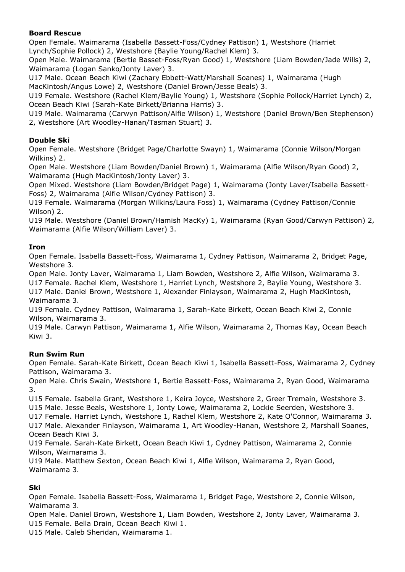## **Board Rescue**

Open Female. Waimarama (Isabella Bassett-Foss/Cydney Pattison) 1, Westshore (Harriet Lynch/Sophie Pollock) 2, Westshore (Baylie Young/Rachel Klem) 3.

Open Male. Waimarama (Bertie Basset-Foss/Ryan Good) 1, Westshore (Liam Bowden/Jade Wills) 2, Waimarama (Logan Sanko/Jonty Laver) 3.

U17 Male. Ocean Beach Kiwi (Zachary Ebbett-Watt/Marshall Soanes) 1, Waimarama (Hugh MacKintosh/Angus Lowe) 2, Westshore (Daniel Brown/Jesse Beals) 3.

U19 Female. Westshore (Rachel Klem/Baylie Young) 1, Westshore (Sophie Pollock/Harriet Lynch) 2, Ocean Beach Kiwi (Sarah-Kate Birkett/Brianna Harris) 3.

U19 Male. Waimarama (Carwyn Pattison/Alfie Wilson) 1, Westshore (Daniel Brown/Ben Stephenson) 2, Westshore (Art Woodley-Hanan/Tasman Stuart) 3.

## **Double Ski**

Open Female. Westshore (Bridget Page/Charlotte Swayn) 1, Waimarama (Connie Wilson/Morgan Wilkins) 2.

Open Male. Westshore (Liam Bowden/Daniel Brown) 1, Waimarama (Alfie Wilson/Ryan Good) 2, Waimarama (Hugh MacKintosh/Jonty Laver) 3.

Open Mixed. Westshore (Liam Bowden/Bridget Page) 1, Waimarama (Jonty Laver/Isabella Bassett-Foss) 2, Waimarama (Alfie Wilson/Cydney Pattison) 3.

U19 Female. Waimarama (Morgan Wilkins/Laura Foss) 1, Waimarama (Cydney Pattison/Connie Wilson) 2.

U19 Male. Westshore (Daniel Brown/Hamish MacKy) 1, Waimarama (Ryan Good/Carwyn Pattison) 2, Waimarama (Alfie Wilson/William Laver) 3.

#### **Iron**

Open Female. Isabella Bassett-Foss, Waimarama 1, Cydney Pattison, Waimarama 2, Bridget Page, Westshore 3.

Open Male. Jonty Laver, Waimarama 1, Liam Bowden, Westshore 2, Alfie Wilson, Waimarama 3. U17 Female. Rachel Klem, Westshore 1, Harriet Lynch, Westshore 2, Baylie Young, Westshore 3. U17 Male. Daniel Brown, Westshore 1, Alexander Finlayson, Waimarama 2, Hugh MacKintosh, Waimarama 3.

U19 Female. Cydney Pattison, Waimarama 1, Sarah-Kate Birkett, Ocean Beach Kiwi 2, Connie Wilson, Waimarama 3.

U19 Male. Carwyn Pattison, Waimarama 1, Alfie Wilson, Waimarama 2, Thomas Kay, Ocean Beach Kiwi 3.

#### **Run Swim Run**

Open Female. Sarah-Kate Birkett, Ocean Beach Kiwi 1, Isabella Bassett-Foss, Waimarama 2, Cydney Pattison, Waimarama 3.

Open Male. Chris Swain, Westshore 1, Bertie Bassett-Foss, Waimarama 2, Ryan Good, Waimarama 3.

U15 Female. Isabella Grant, Westshore 1, Keira Joyce, Westshore 2, Greer Tremain, Westshore 3. U15 Male. Jesse Beals, Westshore 1, Jonty Lowe, Waimarama 2, Lockie Seerden, Westshore 3.

U17 Female. Harriet Lynch, Westshore 1, Rachel Klem, Westshore 2, Kate O'Connor, Waimarama 3. U17 Male. Alexander Finlayson, Waimarama 1, Art Woodley-Hanan, Westshore 2, Marshall Soanes, Ocean Beach Kiwi 3.

U19 Female. Sarah-Kate Birkett, Ocean Beach Kiwi 1, Cydney Pattison, Waimarama 2, Connie Wilson, Waimarama 3.

U19 Male. Matthew Sexton, Ocean Beach Kiwi 1, Alfie Wilson, Waimarama 2, Ryan Good, Waimarama 3.

#### **Ski**

Open Female. Isabella Bassett-Foss, Waimarama 1, Bridget Page, Westshore 2, Connie Wilson, Waimarama 3.

Open Male. Daniel Brown, Westshore 1, Liam Bowden, Westshore 2, Jonty Laver, Waimarama 3. U15 Female. Bella Drain, Ocean Beach Kiwi 1.

U15 Male. Caleb Sheridan, Waimarama 1.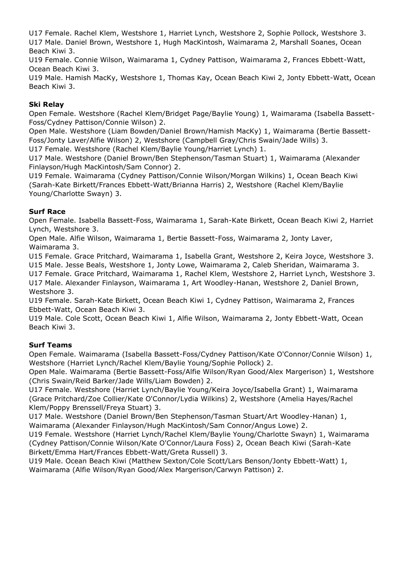U17 Female. Rachel Klem, Westshore 1, Harriet Lynch, Westshore 2, Sophie Pollock, Westshore 3. U17 Male. Daniel Brown, Westshore 1, Hugh MacKintosh, Waimarama 2, Marshall Soanes, Ocean Beach Kiwi 3.

U19 Female. Connie Wilson, Waimarama 1, Cydney Pattison, Waimarama 2, Frances Ebbett-Watt, Ocean Beach Kiwi 3.

U19 Male. Hamish MacKy, Westshore 1, Thomas Kay, Ocean Beach Kiwi 2, Jonty Ebbett-Watt, Ocean Beach Kiwi 3.

# **Ski Relay**

Open Female. Westshore (Rachel Klem/Bridget Page/Baylie Young) 1, Waimarama (Isabella Bassett-Foss/Cydney Pattison/Connie Wilson) 2.

Open Male. Westshore (Liam Bowden/Daniel Brown/Hamish MacKy) 1, Waimarama (Bertie Bassett-Foss/Jonty Laver/Alfie Wilson) 2, Westshore (Campbell Gray/Chris Swain/Jade Wills) 3. U17 Female. Westshore (Rachel Klem/Baylie Young/Harriet Lynch) 1.

U17 Male. Westshore (Daniel Brown/Ben Stephenson/Tasman Stuart) 1, Waimarama (Alexander Finlayson/Hugh MacKintosh/Sam Connor) 2.

U19 Female. Waimarama (Cydney Pattison/Connie Wilson/Morgan Wilkins) 1, Ocean Beach Kiwi (Sarah-Kate Birkett/Frances Ebbett-Watt/Brianna Harris) 2, Westshore (Rachel Klem/Baylie Young/Charlotte Swayn) 3.

## **Surf Race**

Open Female. Isabella Bassett-Foss, Waimarama 1, Sarah-Kate Birkett, Ocean Beach Kiwi 2, Harriet Lynch, Westshore 3.

Open Male. Alfie Wilson, Waimarama 1, Bertie Bassett-Foss, Waimarama 2, Jonty Laver, Waimarama 3.

U15 Female. Grace Pritchard, Waimarama 1, Isabella Grant, Westshore 2, Keira Joyce, Westshore 3. U15 Male. Jesse Beals, Westshore 1, Jonty Lowe, Waimarama 2, Caleb Sheridan, Waimarama 3.

U17 Female. Grace Pritchard, Waimarama 1, Rachel Klem, Westshore 2, Harriet Lynch, Westshore 3. U17 Male. Alexander Finlayson, Waimarama 1, Art Woodley-Hanan, Westshore 2, Daniel Brown, Westshore 3.

U19 Female. Sarah-Kate Birkett, Ocean Beach Kiwi 1, Cydney Pattison, Waimarama 2, Frances Ebbett-Watt, Ocean Beach Kiwi 3.

U19 Male. Cole Scott, Ocean Beach Kiwi 1, Alfie Wilson, Waimarama 2, Jonty Ebbett-Watt, Ocean Beach Kiwi 3.

#### **Surf Teams**

Open Female. Waimarama (Isabella Bassett-Foss/Cydney Pattison/Kate O'Connor/Connie Wilson) 1, Westshore (Harriet Lynch/Rachel Klem/Baylie Young/Sophie Pollock) 2.

Open Male. Waimarama (Bertie Bassett-Foss/Alfie Wilson/Ryan Good/Alex Margerison) 1, Westshore (Chris Swain/Reid Barker/Jade Wills/Liam Bowden) 2.

U17 Female. Westshore (Harriet Lynch/Baylie Young/Keira Joyce/Isabella Grant) 1, Waimarama (Grace Pritchard/Zoe Collier/Kate O'Connor/Lydia Wilkins) 2, Westshore (Amelia Hayes/Rachel Klem/Poppy Brenssell/Freya Stuart) 3.

U17 Male. Westshore (Daniel Brown/Ben Stephenson/Tasman Stuart/Art Woodley-Hanan) 1, Waimarama (Alexander Finlayson/Hugh MacKintosh/Sam Connor/Angus Lowe) 2.

U19 Female. Westshore (Harriet Lynch/Rachel Klem/Baylie Young/Charlotte Swayn) 1, Waimarama (Cydney Pattison/Connie Wilson/Kate O'Connor/Laura Foss) 2, Ocean Beach Kiwi (Sarah-Kate Birkett/Emma Hart/Frances Ebbett-Watt/Greta Russell) 3.

U19 Male. Ocean Beach Kiwi (Matthew Sexton/Cole Scott/Lars Benson/Jonty Ebbett-Watt) 1, Waimarama (Alfie Wilson/Ryan Good/Alex Margerison/Carwyn Pattison) 2.